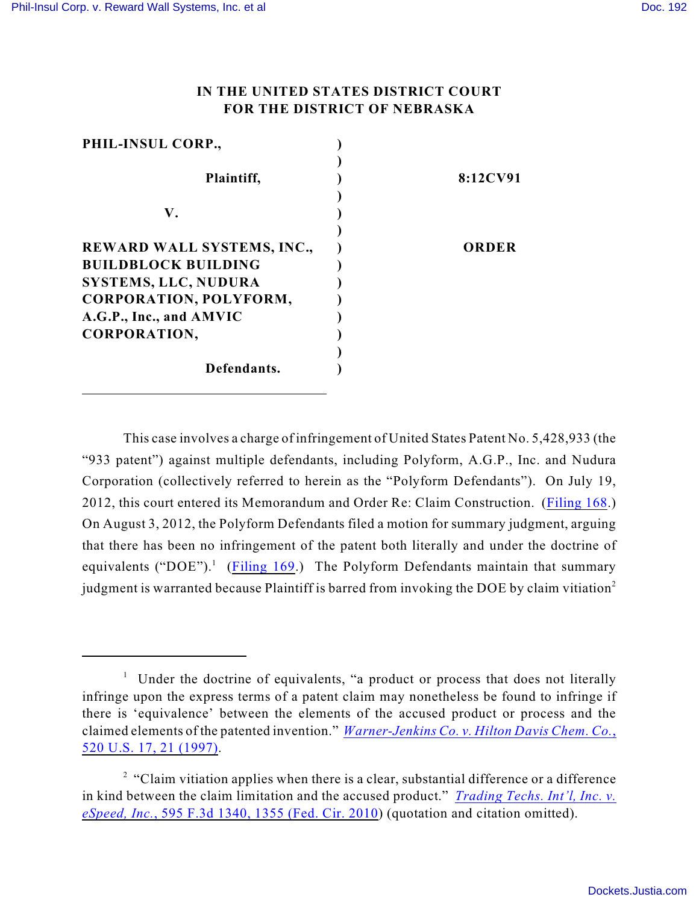## **IN THE UNITED STATES DISTRICT COURT FOR THE DISTRICT OF NEBRASKA**

| 8:12CV91 |
|----------|
|          |
| ORDER    |
|          |
|          |
|          |
|          |

This case involves a charge of infringement of United States Patent No. 5,428,933 (the "933 patent") against multiple defendants, including Polyform, A.G.P., Inc. and Nudura Corporation (collectively referred to herein as the "Polyform Defendants"). On July 19, 2012, this court entered its Memorandum and Order Re: Claim Construction. ([Filing 168](https://ecf.ned.uscourts.gov/doc1/11312569906).) On August 3, 2012, the Polyform Defendants filed a motion for summary judgment, arguing that there has been no infringement of the patent both literally and under the doctrine of equivalents ("DOE").<sup>1</sup> ([Filing 169](https://ecf.ned.uscourts.gov/doc1/11312579546).) The Polyform Defendants maintain that summary judgment is warranted because Plaintiff is barred from invoking the DOE by claim vitiation<sup>2</sup>

<sup>&</sup>lt;sup>1</sup> Under the doctrine of equivalents, "a product or process that does not literally infringe upon the express terms of a patent claim may nonetheless be found to infringe if there is 'equivalence' between the elements of the accused product or process and the claimed elements of the patented invention." *[Warner-Jenkins Co. v. Hilton Davis Chem. Co.](http://web2.westlaw.com/find/default.wl?cite=520+us+21&rs=WLW12.07&vr=2.0&rp=%2ffind%2fdefault.wl&utid=3&fn=_top&mt=ReutersNewsUS&sv=Split)*, [520 U.S. 17, 21 \(1997\)](http://web2.westlaw.com/find/default.wl?cite=520+us+21&rs=WLW12.07&vr=2.0&rp=%2ffind%2fdefault.wl&utid=3&fn=_top&mt=ReutersNewsUS&sv=Split).

 $2$  "Claim vitiation applies when there is a clear, substantial difference or a difference in kind between the claim limitation and the accused product." *[Trading Techs. Int'l, Inc. v.](http://web2.westlaw.com/find/default.wl?cite=595+f.3d+1355&rs=WLW12.07&vr=2.0&rp=%2ffind%2fdefault.wl&utid=3&fn=_top&mt=ReutersNewsUS&sv=Split) eSpeed, Inc.*[, 595 F.3d 1340, 1355 \(Fed. Cir. 2010](http://web2.westlaw.com/find/default.wl?cite=595+f.3d+1355&rs=WLW12.07&vr=2.0&rp=%2ffind%2fdefault.wl&utid=3&fn=_top&mt=ReutersNewsUS&sv=Split)) (quotation and citation omitted).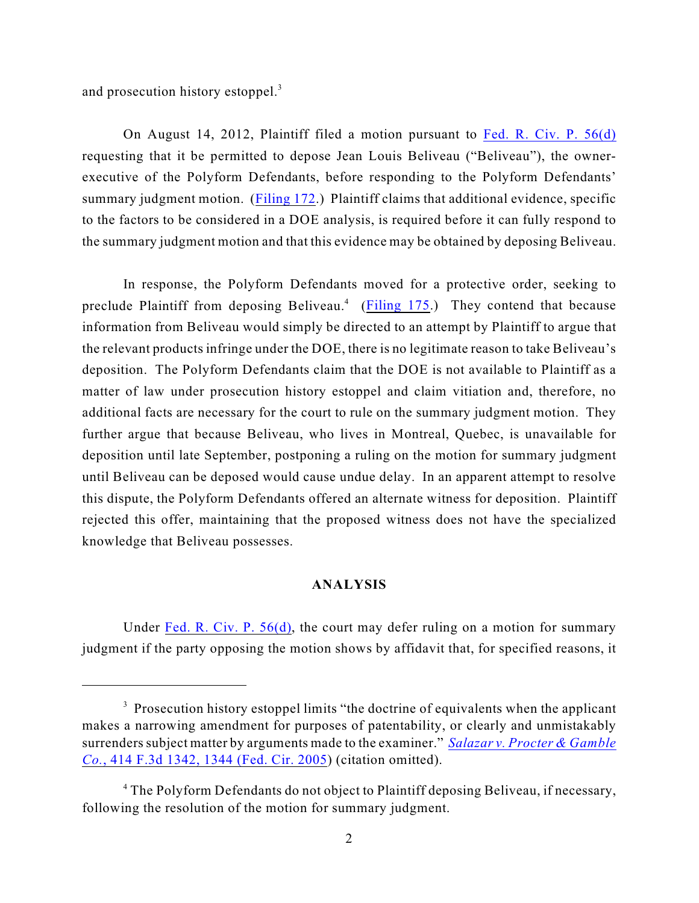and prosecution history estoppel.<sup>3</sup>

On August 14, 2012, Plaintiff filed a motion pursuant to [Fed. R. Civ. P. 56\(d\)](http://web2.westlaw.com/find/default.wl?cite=usca+civil+procedure+56&rs=WLW12.07&vr=2.0&rp=%2ffind%2fdefault.wl&utid=3&fn=_top&mt=ReutersNewsUS&sv=Split) requesting that it be permitted to depose Jean Louis Beliveau ("Beliveau"), the ownerexecutive of the Polyform Defendants, before responding to the Polyform Defendants' summary judgment motion. [\(Filing 172](https://ecf.ned.uscourts.gov/doc1/11312585299).) Plaintiff claims that additional evidence, specific to the factors to be considered in a DOE analysis, is required before it can fully respond to the summary judgment motion and that this evidence may be obtained by deposing Beliveau.

In response, the Polyform Defendants moved for a protective order, seeking to preclude Plaintiff from deposing Beliveau.<sup>4</sup> ([Filing 175](https://ecf.ned.uscourts.gov/doc1/11312585348).) They contend that because information from Beliveau would simply be directed to an attempt by Plaintiff to argue that the relevant products infringe under the DOE, there is no legitimate reason to take Beliveau's deposition. The Polyform Defendants claim that the DOE is not available to Plaintiff as a matter of law under prosecution history estoppel and claim vitiation and, therefore, no additional facts are necessary for the court to rule on the summary judgment motion. They further argue that because Beliveau, who lives in Montreal, Quebec, is unavailable for deposition until late September, postponing a ruling on the motion for summary judgment until Beliveau can be deposed would cause undue delay. In an apparent attempt to resolve this dispute, the Polyform Defendants offered an alternate witness for deposition. Plaintiff rejected this offer, maintaining that the proposed witness does not have the specialized knowledge that Beliveau possesses.

## **ANALYSIS**

Under [Fed. R. Civ. P. 56\(d\)](http://web2.westlaw.com/find/default.wl?cite=usca+civil+procedure+56&rs=WLW12.07&vr=2.0&rp=%2ffind%2fdefault.wl&utid=3&fn=_top&mt=ReutersNewsUS&sv=Split), the court may defer ruling on a motion for summary judgment if the party opposing the motion shows by affidavit that, for specified reasons, it

<sup>&</sup>lt;sup>3</sup> Prosecution history estoppel limits "the doctrine of equivalents when the applicant makes a narrowing amendment for purposes of patentability, or clearly and unmistakably surrenders subject matter by arguments made to the examiner." *[Salazar v. Procter & Gamble](http://web2.westlaw.com/find/default.wl?cite=414+f.3d+1344&rs=WLW12.07&vr=2.0&rp=%2ffind%2fdefault.wl&utid=3&fn=_top&mt=ReutersNewsUS&sv=Split) Co.*[, 414 F.3d 1342, 1344 \(Fed. Cir. 2005](http://web2.westlaw.com/find/default.wl?cite=414+f.3d+1344&rs=WLW12.07&vr=2.0&rp=%2ffind%2fdefault.wl&utid=3&fn=_top&mt=ReutersNewsUS&sv=Split)) (citation omitted).

<sup>&</sup>lt;sup>4</sup> The Polyform Defendants do not object to Plaintiff deposing Beliveau, if necessary, following the resolution of the motion for summary judgment.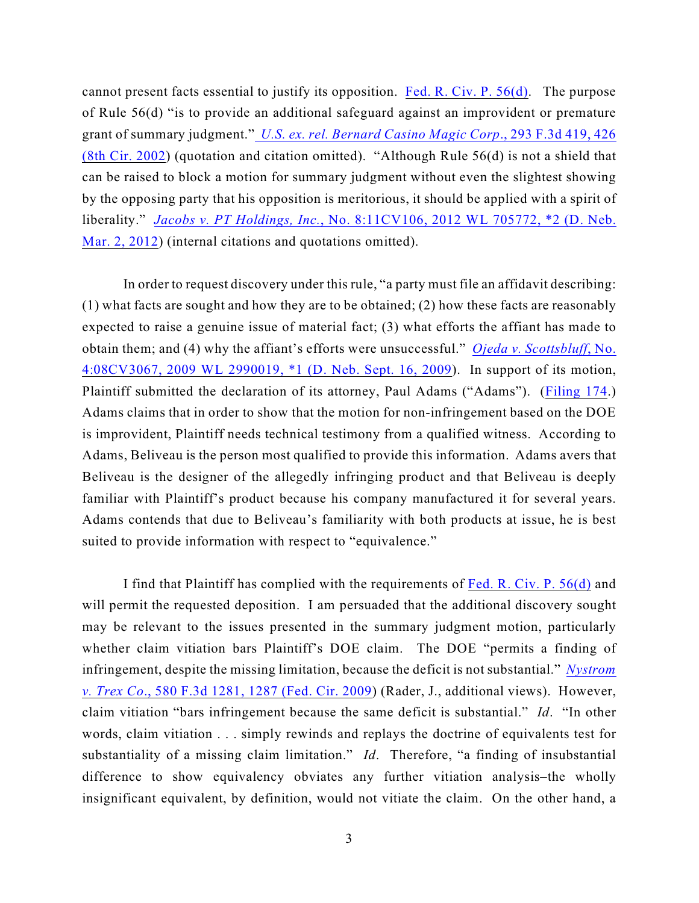cannot present facts essential to justify its opposition. [Fed. R. Civ. P. 56\(d\)](http://web2.westlaw.com/find/default.wl?cite=usca+civil+procedure+56&rs=WLW12.07&vr=2.0&rp=%2ffind%2fdefault.wl&utid=3&fn=_top&mt=ReutersNewsUS&sv=Split). The purpose of Rule 56(d) "is to provide an additional safeguard against an improvident or premature grant of summary judgment." *[U.S. ex. rel. Bernard Casino Magic Corp](http://web2.westlaw.com/find/default.wl?cite=293+f.3d+426&rs=WLW12.07&vr=2.0&rp=%2ffind%2fdefault.wl&utid=3&fn=_top&mt=ReutersNewsUS&sv=Split)*., 293 F.3d 419, 426 [\(8th Cir. 2002](http://web2.westlaw.com/find/default.wl?cite=293+f.3d+426&rs=WLW12.07&vr=2.0&rp=%2ffind%2fdefault.wl&utid=3&fn=_top&mt=ReutersNewsUS&sv=Split)) (quotation and citation omitted). "Although Rule 56(d) is not a shield that can be raised to block a motion for summary judgment without even the slightest showing by the opposing party that his opposition is meritorious, it should be applied with a spirit of liberality." *Jacobs v. PT Holdings, Inc.*[, No. 8:11CV106, 2012 WL 705772, \\*2 \(D. Neb.](http://web2.westlaw.com/find/default.wl?cite=2012+wl+705772&rs=WLW12.07&vr=2.0&rp=%2ffind%2fdefault.wl&utid=3&fn=_top&mt=ReutersNewsUS&sv=Split) [Mar. 2, 2012](http://web2.westlaw.com/find/default.wl?cite=2012+wl+705772&rs=WLW12.07&vr=2.0&rp=%2ffind%2fdefault.wl&utid=3&fn=_top&mt=ReutersNewsUS&sv=Split)) (internal citations and quotations omitted).

In order to request discovery under this rule, "a party must file an affidavit describing: (1) what facts are sought and how they are to be obtained; (2) how these facts are reasonably expected to raise a genuine issue of material fact; (3) what efforts the affiant has made to obtain them; and (4) why the affiant's efforts were unsuccessful." *[Ojeda v. Scottsbluff](http://web2.westlaw.com/find/default.wl?cite=2009+wl+2990019&rs=WLW12.07&vr=2.0&rp=%2ffind%2fdefault.wl&utid=3&fn=_top&mt=ReutersNewsUS&sv=Split)*, No. [4:08CV3067, 2009 WL 2990019, \\*1 \(D. Neb. Sept. 16, 2009](http://web2.westlaw.com/find/default.wl?cite=2009+wl+2990019&rs=WLW12.07&vr=2.0&rp=%2ffind%2fdefault.wl&utid=3&fn=_top&mt=ReutersNewsUS&sv=Split)). In support of its motion, Plaintiff submitted the declaration of its attorney, Paul Adams ("Adams"). [\(Filing 174](https://ecf.ned.uscourts.gov/doc1/11312585311).) Adams claims that in order to show that the motion for non-infringement based on the DOE is improvident, Plaintiff needs technical testimony from a qualified witness. According to Adams, Beliveau is the person most qualified to provide this information. Adams avers that Beliveau is the designer of the allegedly infringing product and that Beliveau is deeply familiar with Plaintiff's product because his company manufactured it for several years. Adams contends that due to Beliveau's familiarity with both products at issue, he is best suited to provide information with respect to "equivalence."

I find that Plaintiff has complied with the requirements of [Fed. R. Civ. P. 56\(d\)](http://web2.westlaw.com/find/default.wl?cite=usca+civil+procedure+56&rs=WLW12.07&vr=2.0&rp=%2ffind%2fdefault.wl&utid=3&fn=_top&mt=ReutersNewsUS&sv=Split) and will permit the requested deposition. I am persuaded that the additional discovery sought may be relevant to the issues presented in the summary judgment motion, particularly whether claim vitiation bars Plaintiff's DOE claim. The DOE "permits a finding of infringement, despite the missing limitation, because the deficit is not substantial." *[Nystrom](http://web2.westlaw.com/find/default.wl?cite=580+f.3d+1281&rs=WLW12.07&vr=2.0&rp=%2ffind%2fdefault.wl&utid=3&fn=_top&mt=ReutersNewsUS&sv=Split) v. Trex Co*[., 580 F.3d 1281, 1287 \(Fed. Cir. 2009](http://web2.westlaw.com/find/default.wl?cite=580+f.3d+1281&rs=WLW12.07&vr=2.0&rp=%2ffind%2fdefault.wl&utid=3&fn=_top&mt=ReutersNewsUS&sv=Split)) (Rader, J., additional views). However, claim vitiation "bars infringement because the same deficit is substantial." *Id*. "In other words, claim vitiation . . . simply rewinds and replays the doctrine of equivalents test for substantiality of a missing claim limitation." *Id*. Therefore, "a finding of insubstantial difference to show equivalency obviates any further vitiation analysis–the wholly insignificant equivalent, by definition, would not vitiate the claim. On the other hand, a